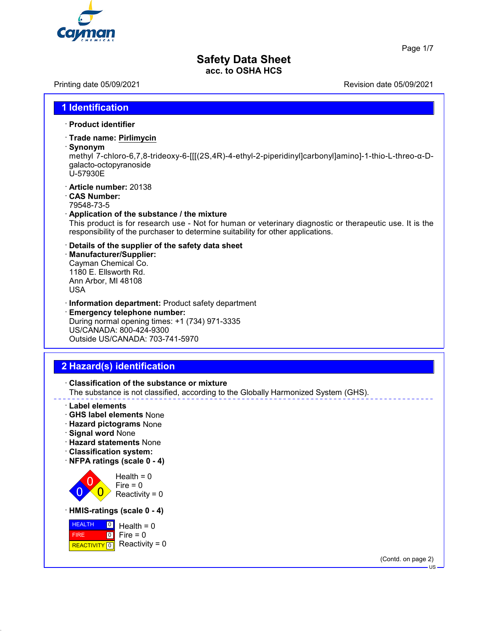

Page 1/7

## **Safety Data Sheet acc. to OSHA HCS**

Printing date 05/09/2021 Revision date 05/09/2021

# **1 Identification**

- · **Product identifier**
- · **Trade name: Pirlimycin**
- · **Synonym**

methyl 7-chloro-6,7,8-trideoxy-6-[[[(2S,4R)-4-ethyl-2-piperidinyl]carbonyl]amino]-1-thio-L-threo-α-Dgalacto-octopyranoside U-57930E

- · **Article number:** 20138
- · **CAS Number:**
- 79548-73-5
- · **Application of the substance / the mixture** This product is for research use - Not for human or veterinary diagnostic or therapeutic use. It is the responsibility of the purchaser to determine suitability for other applications.

### · **Details of the supplier of the safety data sheet**

- · **Manufacturer/Supplier:** Cayman Chemical Co. 1180 E. Ellsworth Rd. Ann Arbor, MI 48108 USA
- · **Information department:** Product safety department
- · **Emergency telephone number:** During normal opening times: +1 (734) 971-3335 US/CANADA: 800-424-9300 Outside US/CANADA: 703-741-5970

# **2 Hazard(s) identification**

- · **Classification of the substance or mixture**
- The substance is not classified, according to the Globally Harmonized System (GHS).
- · **Label elements**
- · **GHS label elements** None
- · **Hazard pictograms** None
- · **Signal word** None
- · **Hazard statements** None
- · **Classification system:**
- · **NFPA ratings (scale 0 4)**



 $Health = 0$  $Fire = 0$ Reactivity =  $0$ 

· **HMIS-ratings (scale 0 - 4)**

| 0 <br><b>HEALTH</b> | Health = $0$                |
|---------------------|-----------------------------|
| 0 <br><b>FIRE</b>   | Fire $= 0$                  |
|                     | REACTIVITY 0 Reactivity = 0 |

(Contd. on page 2)

US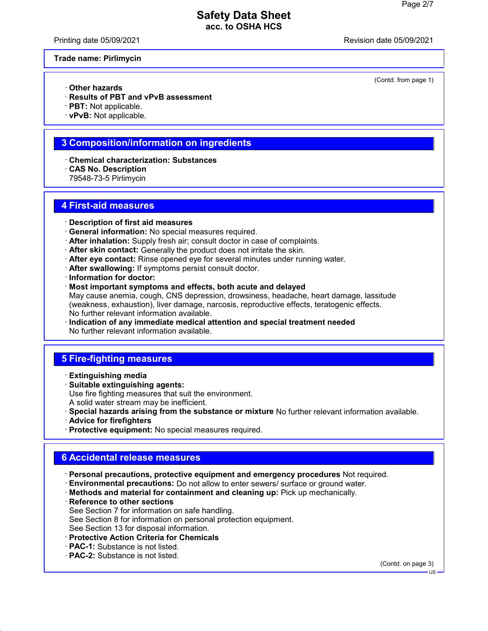Printing date 05/09/2021 Revision date 05/09/2021

(Contd. from page 1)

#### **Trade name: Pirlimycin**

- · **Other hazards**
- · **Results of PBT and vPvB assessment**
- · **PBT:** Not applicable.
- · **vPvB:** Not applicable.

## **3 Composition/information on ingredients**

- · **Chemical characterization: Substances**
- · **CAS No. Description**
- 79548-73-5 Pirlimycin

## **4 First-aid measures**

- · **Description of first aid measures**
- · **General information:** No special measures required.
- · **After inhalation:** Supply fresh air; consult doctor in case of complaints.
- · **After skin contact:** Generally the product does not irritate the skin.
- · **After eye contact:** Rinse opened eye for several minutes under running water.
- · **After swallowing:** If symptoms persist consult doctor.
- · **Information for doctor:**
- · **Most important symptoms and effects, both acute and delayed** May cause anemia, cough, CNS depression, drowsiness, headache, heart damage, lassitude (weakness, exhaustion), liver damage, narcosis, reproductive effects, teratogenic effects. No further relevant information available.
- · **Indication of any immediate medical attention and special treatment needed** No further relevant information available.

# **5 Fire-fighting measures**

- · **Extinguishing media**
- · **Suitable extinguishing agents:** Use fire fighting measures that suit the environment. A solid water stream may be inefficient.
- · **Special hazards arising from the substance or mixture** No further relevant information available.
- · **Advice for firefighters**
- · **Protective equipment:** No special measures required.

# **6 Accidental release measures**

- · **Personal precautions, protective equipment and emergency procedures** Not required.
- · **Environmental precautions:** Do not allow to enter sewers/ surface or ground water.
- · **Methods and material for containment and cleaning up:** Pick up mechanically.
- · **Reference to other sections** See Section 7 for information on safe handling. See Section 8 for information on personal protection equipment. See Section 13 for disposal information.
- · **Protective Action Criteria for Chemicals**
- · **PAC-1:** Substance is not listed.
- · **PAC-2:** Substance is not listed.

(Contd. on page 3)

US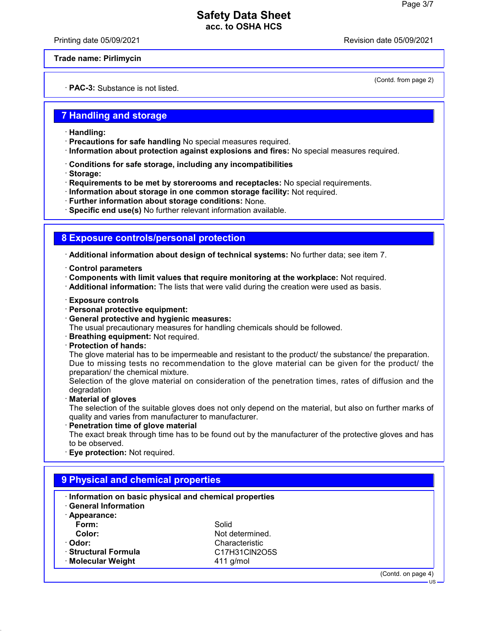Printing date 05/09/2021 Revision date 05/09/2021

(Contd. from page 2)

**Trade name: Pirlimycin**

· **PAC-3:** Substance is not listed.

# **7 Handling and storage**

- · **Handling:**
- · **Precautions for safe handling** No special measures required.
- · **Information about protection against explosions and fires:** No special measures required.
- · **Conditions for safe storage, including any incompatibilities**
- · **Storage:**
- · **Requirements to be met by storerooms and receptacles:** No special requirements.
- · **Information about storage in one common storage facility:** Not required.
- · **Further information about storage conditions:** None.
- · **Specific end use(s)** No further relevant information available.

# **8 Exposure controls/personal protection**

· **Additional information about design of technical systems:** No further data; see item 7.

- · **Control parameters**
- · **Components with limit values that require monitoring at the workplace:** Not required.
- · **Additional information:** The lists that were valid during the creation were used as basis.
- · **Exposure controls**
- · **Personal protective equipment:**
- · **General protective and hygienic measures:**
- The usual precautionary measures for handling chemicals should be followed.
- · **Breathing equipment:** Not required.
- · **Protection of hands:**

The glove material has to be impermeable and resistant to the product/ the substance/ the preparation. Due to missing tests no recommendation to the glove material can be given for the product/ the preparation/ the chemical mixture.

Selection of the glove material on consideration of the penetration times, rates of diffusion and the degradation

· **Material of gloves**

The selection of the suitable gloves does not only depend on the material, but also on further marks of quality and varies from manufacturer to manufacturer.

· **Penetration time of glove material**

The exact break through time has to be found out by the manufacturer of the protective gloves and has to be observed.

· **Eye protection:** Not required.

| Information on basic physical and chemical properties<br><b>General Information</b> |                 |  |  |
|-------------------------------------------------------------------------------------|-----------------|--|--|
| Appearance:                                                                         |                 |  |  |
| Form:                                                                               | Solid           |  |  |
| Color:                                                                              | Not determined. |  |  |
| · Odor:                                                                             | Characteristic  |  |  |
| · Structural Formula                                                                | C17H31CIN2O5S   |  |  |
| · Molecular Weight                                                                  | $411$ g/mol     |  |  |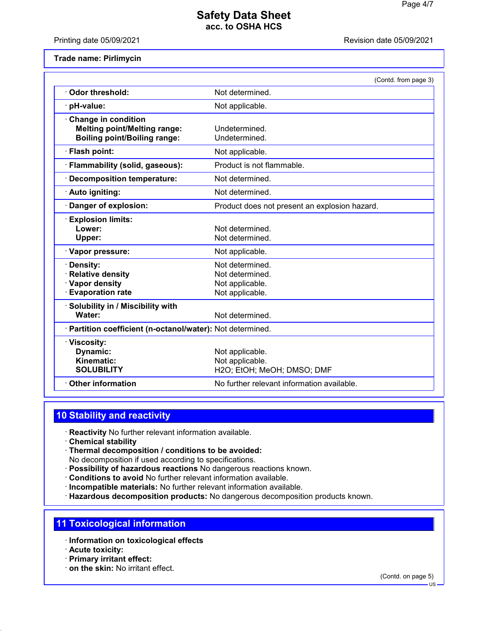Printing date 05/09/2021 Revision date 05/09/2021

#### **Trade name: Pirlimycin**

|                                                                                                          | (Contd. from page 3)                                                     |
|----------------------------------------------------------------------------------------------------------|--------------------------------------------------------------------------|
| Odor threshold:                                                                                          | Not determined.                                                          |
| pH-value:                                                                                                | Not applicable.                                                          |
| <b>Change in condition</b><br><b>Melting point/Melting range:</b><br><b>Boiling point/Boiling range:</b> | Undetermined.<br>Undetermined.                                           |
| · Flash point:                                                                                           | Not applicable.                                                          |
| · Flammability (solid, gaseous):                                                                         | Product is not flammable.                                                |
| <b>Decomposition temperature:</b>                                                                        | Not determined.                                                          |
| · Auto igniting:                                                                                         | Not determined.                                                          |
| Danger of explosion:                                                                                     | Product does not present an explosion hazard.                            |
| <b>Explosion limits:</b><br>Lower:<br>Upper:                                                             | Not determined.<br>Not determined.                                       |
| · Vapor pressure:                                                                                        | Not applicable.                                                          |
| Density:<br><b>Relative density</b><br>· Vapor density<br><b>Evaporation rate</b>                        | Not determined.<br>Not determined.<br>Not applicable.<br>Not applicable. |
| Solubility in / Miscibility with<br>Water:                                                               | Not determined.                                                          |
| · Partition coefficient (n-octanol/water): Not determined.                                               |                                                                          |
| · Viscosity:<br>Dynamic:<br>Kinematic:<br><b>SOLUBILITY</b>                                              | Not applicable.<br>Not applicable.<br>H2O; EtOH; MeOH; DMSO; DMF         |
| <b>Other information</b>                                                                                 | No further relevant information available.                               |

# **10 Stability and reactivity**

- · **Reactivity** No further relevant information available.
- · **Chemical stability**
- · **Thermal decomposition / conditions to be avoided:** No decomposition if used according to specifications.
- · **Possibility of hazardous reactions** No dangerous reactions known.
- · **Conditions to avoid** No further relevant information available.
- · **Incompatible materials:** No further relevant information available.
- · **Hazardous decomposition products:** No dangerous decomposition products known.

# **11 Toxicological information**

- · **Information on toxicological effects**
- · **Acute toxicity:**
- · **Primary irritant effect:**
- · **on the skin:** No irritant effect.

(Contd. on page 5)

US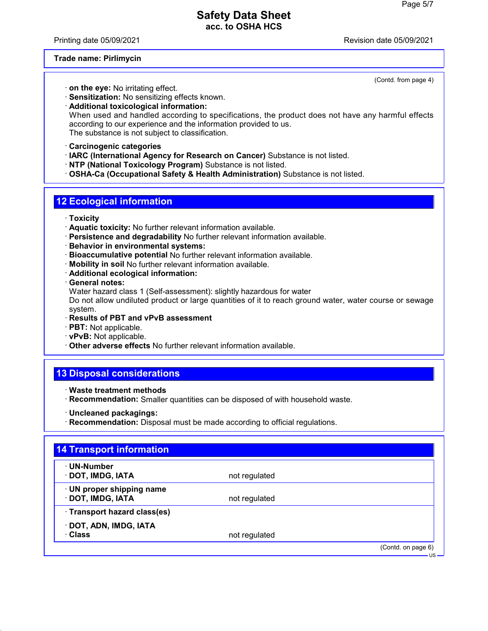Printing date 05/09/2021 Revision date 05/09/2021

(Contd. from page 4)

#### **Trade name: Pirlimycin**

- · **on the eye:** No irritating effect.
- · **Sensitization:** No sensitizing effects known.
- · **Additional toxicological information:** When used and handled according to specifications, the product does not have any harmful effects according to our experience and the information provided to us. The substance is not subject to classification.
- · **Carcinogenic categories**
- · **IARC (International Agency for Research on Cancer)** Substance is not listed.
- · **NTP (National Toxicology Program)** Substance is not listed.
- · **OSHA-Ca (Occupational Safety & Health Administration)** Substance is not listed.

# **12 Ecological information**

- · **Toxicity**
- · **Aquatic toxicity:** No further relevant information available.
- · **Persistence and degradability** No further relevant information available.
- · **Behavior in environmental systems:**
- · **Bioaccumulative potential** No further relevant information available.
- · **Mobility in soil** No further relevant information available.
- · **Additional ecological information:**
- · **General notes:**
- Water hazard class 1 (Self-assessment): slightly hazardous for water

Do not allow undiluted product or large quantities of it to reach ground water, water course or sewage system.

- · **Results of PBT and vPvB assessment**
- · **PBT:** Not applicable.
- · **vPvB:** Not applicable.
- · **Other adverse effects** No further relevant information available.

# **13 Disposal considerations**

- · **Waste treatment methods**
- · **Recommendation:** Smaller quantities can be disposed of with household waste.
- · **Uncleaned packagings:**
- · **Recommendation:** Disposal must be made according to official regulations.

| ⋅ UN-Number                  |               |  |
|------------------------------|---------------|--|
| · DOT, IMDG, IATA            | not regulated |  |
| · UN proper shipping name    |               |  |
| · DOT, IMDG, IATA            | not regulated |  |
| · Transport hazard class(es) |               |  |
| · DOT, ADN, IMDG, IATA       |               |  |
| · Class                      | not regulated |  |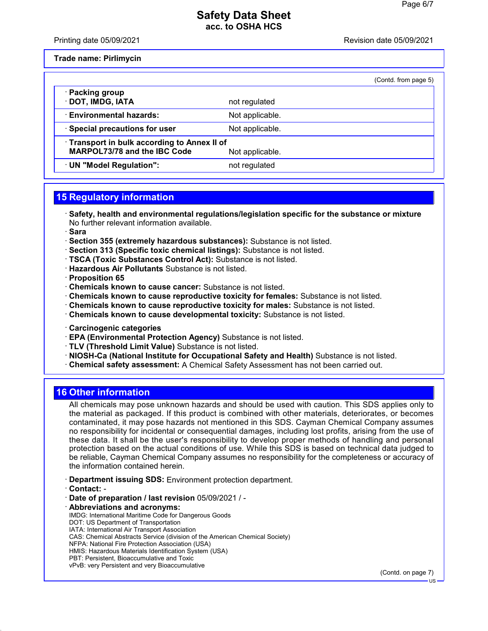Printing date 05/09/2021 Revision date 05/09/2021

**Trade name: Pirlimycin**

|                                                   |                 | (Contd. from page 5) |
|---------------------------------------------------|-----------------|----------------------|
| · Packing group<br>· DOT, IMDG, IATA              | not regulated   |                      |
| <b>Environmental hazards:</b>                     | Not applicable. |                      |
| · Special precautions for user                    | Not applicable. |                      |
| <b>Transport in bulk according to Annoy II of</b> |                 |                      |

· **Transport in bulk according to Annex II of**

**MARPOL73/78 and the IBC Code** Not applicable.

#### · **UN "Model Regulation":** not regulated

# **15 Regulatory information**

· **Safety, health and environmental regulations/legislation specific for the substance or mixture** No further relevant information available.

· **Sara**

- · **Section 355 (extremely hazardous substances):** Substance is not listed.
- · **Section 313 (Specific toxic chemical listings):** Substance is not listed.
- · **TSCA (Toxic Substances Control Act):** Substance is not listed.
- · **Hazardous Air Pollutants** Substance is not listed.

· **Proposition 65**

- · **Chemicals known to cause cancer:** Substance is not listed.
- · **Chemicals known to cause reproductive toxicity for females:** Substance is not listed.
- · **Chemicals known to cause reproductive toxicity for males:** Substance is not listed.
- · **Chemicals known to cause developmental toxicity:** Substance is not listed.
- · **Carcinogenic categories**
- · **EPA (Environmental Protection Agency)** Substance is not listed.
- · **TLV (Threshold Limit Value)** Substance is not listed.
- · **NIOSH-Ca (National Institute for Occupational Safety and Health)** Substance is not listed.
- · **Chemical safety assessment:** A Chemical Safety Assessment has not been carried out.

# **16 Other information**

All chemicals may pose unknown hazards and should be used with caution. This SDS applies only to the material as packaged. If this product is combined with other materials, deteriorates, or becomes contaminated, it may pose hazards not mentioned in this SDS. Cayman Chemical Company assumes no responsibility for incidental or consequential damages, including lost profits, arising from the use of these data. It shall be the user's responsibility to develop proper methods of handling and personal protection based on the actual conditions of use. While this SDS is based on technical data judged to be reliable, Cayman Chemical Company assumes no responsibility for the completeness or accuracy of the information contained herein.

- · **Department issuing SDS:** Environment protection department.
- · **Contact:** -
- · **Date of preparation / last revision** 05/09/2021 / -
- · **Abbreviations and acronyms:**
- IMDG: International Maritime Code for Dangerous Goods
- DOT: US Department of Transportation
- IATA: International Air Transport Association CAS: Chemical Abstracts Service (division of the American Chemical Society)
- NFPA: National Fire Protection Association (USA)
- HMIS: Hazardous Materials Identification System (USA)
- PBT: Persistent, Bioaccumulative and Toxic
- vPvB: very Persistent and very Bioaccumulative

(Contd. on page 7)